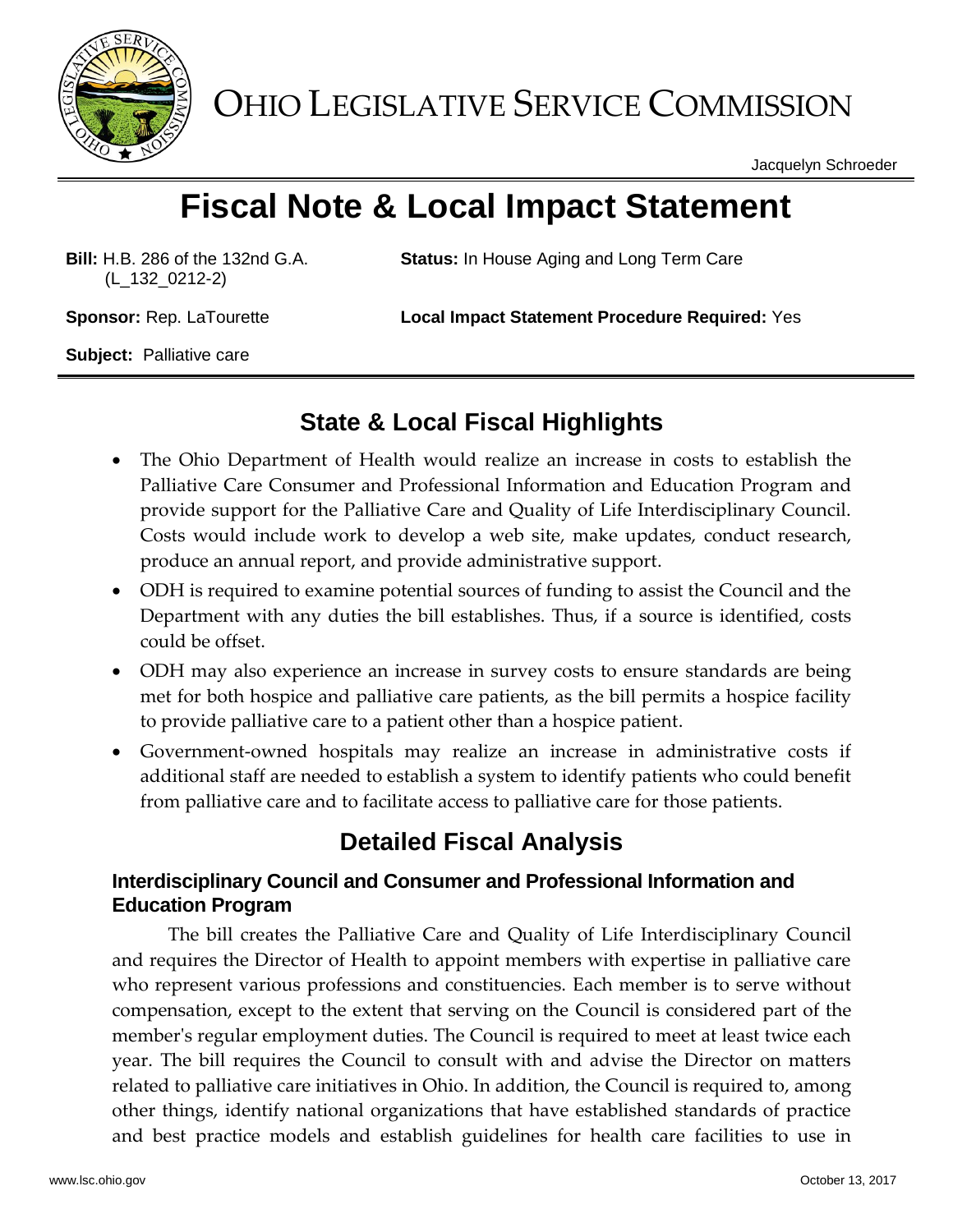

OHIO LEGISLATIVE SERVICE COMMISSION

Jacquelyn Schroeder

# **Fiscal Note & Local Impact Statement**

**Bill:** H.B. 286 of the 132nd G.A. (L\_132\_0212-2)

**Status:** In House Aging and Long Term Care

**Sponsor:** Rep. LaTourette **Local Impact Statement Procedure Required:** Yes

**Subject:** Palliative care

## **State & Local Fiscal Highlights**

- The Ohio Department of Health would realize an increase in costs to establish the Palliative Care Consumer and Professional Information and Education Program and provide support for the Palliative Care and Quality of Life Interdisciplinary Council. Costs would include work to develop a web site, make updates, conduct research, produce an annual report, and provide administrative support.
- ODH is required to examine potential sources of funding to assist the Council and the Department with any duties the bill establishes. Thus, if a source is identified, costs could be offset.
- ODH may also experience an increase in survey costs to ensure standards are being met for both hospice and palliative care patients, as the bill permits a hospice facility to provide palliative care to a patient other than a hospice patient.
- Government-owned hospitals may realize an increase in administrative costs if additional staff are needed to establish a system to identify patients who could benefit from palliative care and to facilitate access to palliative care for those patients.

# **Detailed Fiscal Analysis**

#### **Interdisciplinary Council and Consumer and Professional Information and Education Program**

The bill creates the Palliative Care and Quality of Life Interdisciplinary Council and requires the Director of Health to appoint members with expertise in palliative care who represent various professions and constituencies. Each member is to serve without compensation, except to the extent that serving on the Council is considered part of the member's regular employment duties. The Council is required to meet at least twice each year. The bill requires the Council to consult with and advise the Director on matters related to palliative care initiatives in Ohio. In addition, the Council is required to, among other things, identify national organizations that have established standards of practice and best practice models and establish guidelines for health care facilities to use in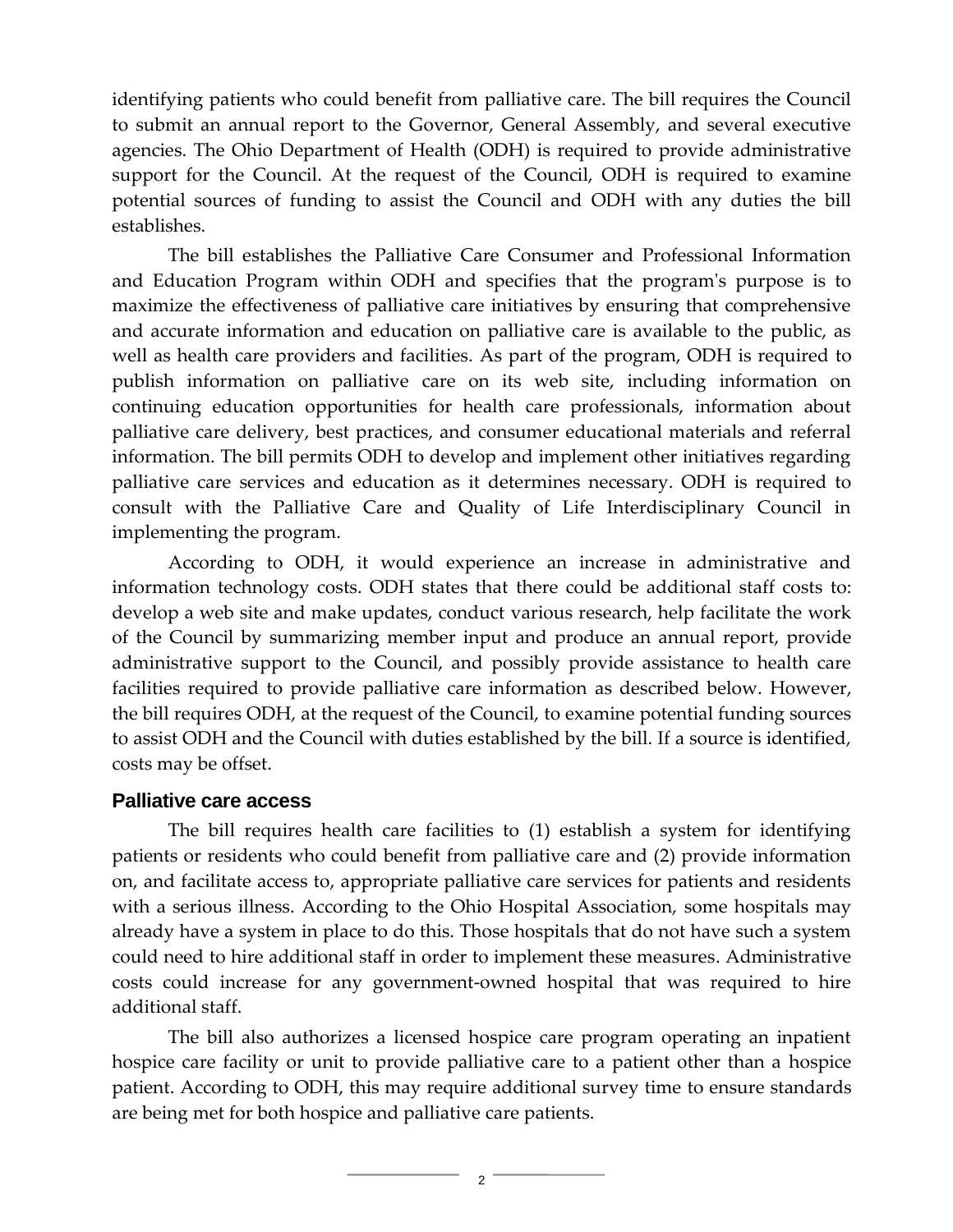identifying patients who could benefit from palliative care. The bill requires the Council to submit an annual report to the Governor, General Assembly, and several executive agencies. The Ohio Department of Health (ODH) is required to provide administrative support for the Council. At the request of the Council, ODH is required to examine potential sources of funding to assist the Council and ODH with any duties the bill establishes.

The bill establishes the Palliative Care Consumer and Professional Information and Education Program within ODH and specifies that the program's purpose is to maximize the effectiveness of palliative care initiatives by ensuring that comprehensive and accurate information and education on palliative care is available to the public, as well as health care providers and facilities. As part of the program, ODH is required to publish information on palliative care on its web site, including information on continuing education opportunities for health care professionals, information about palliative care delivery, best practices, and consumer educational materials and referral information. The bill permits ODH to develop and implement other initiatives regarding palliative care services and education as it determines necessary. ODH is required to consult with the Palliative Care and Quality of Life Interdisciplinary Council in implementing the program.

According to ODH, it would experience an increase in administrative and information technology costs. ODH states that there could be additional staff costs to: develop a web site and make updates, conduct various research, help facilitate the work of the Council by summarizing member input and produce an annual report, provide administrative support to the Council, and possibly provide assistance to health care facilities required to provide palliative care information as described below. However, the bill requires ODH, at the request of the Council, to examine potential funding sources to assist ODH and the Council with duties established by the bill. If a source is identified, costs may be offset.

#### **Palliative care access**

The bill requires health care facilities to (1) establish a system for identifying patients or residents who could benefit from palliative care and (2) provide information on, and facilitate access to, appropriate palliative care services for patients and residents with a serious illness. According to the Ohio Hospital Association, some hospitals may already have a system in place to do this. Those hospitals that do not have such a system could need to hire additional staff in order to implement these measures. Administrative costs could increase for any government-owned hospital that was required to hire additional staff.

The bill also authorizes a licensed hospice care program operating an inpatient hospice care facility or unit to provide palliative care to a patient other than a hospice patient. According to ODH, this may require additional survey time to ensure standards are being met for both hospice and palliative care patients.